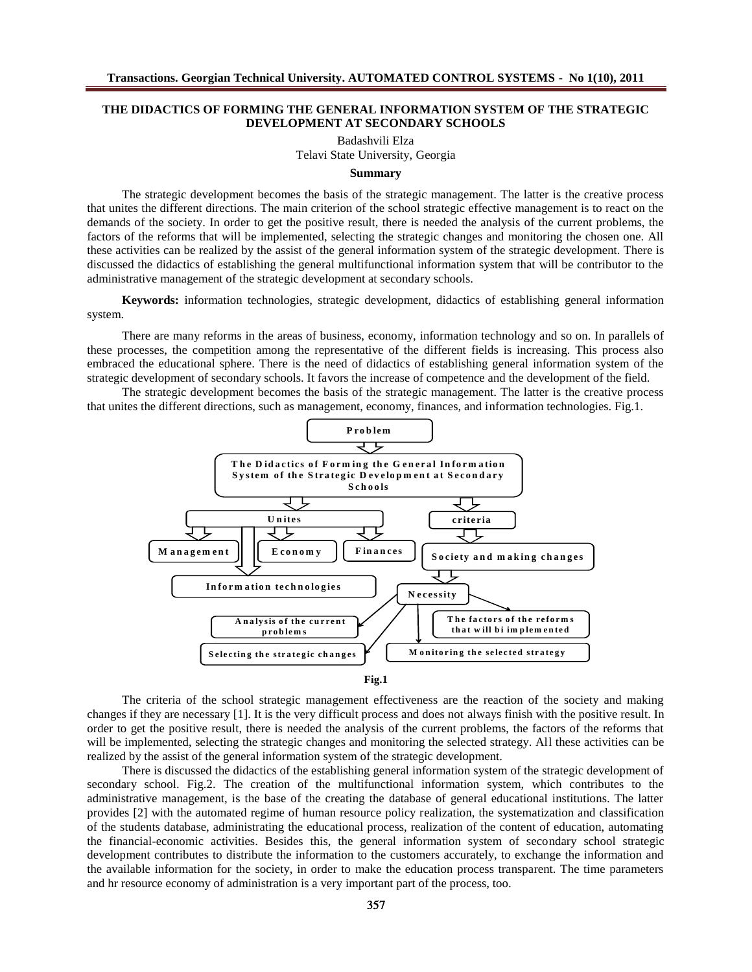# **THE DIDACTICS OF FORMING THE GENERAL INFORMATION SYSTEM OF THE STRATEGIC DEVELOPMENT AT SECONDARY SCHOOLS**

Badashvili Elza Telavi State University, Georgia

### **Summary**

The strategic development becomes the basis of the strategic management. The latter is the creative process that unites the different directions. The main criterion of the school strategic effective management is to react on the demands of the society. In order to get the positive result, there is needed the analysis of the current problems, the factors of the reforms that will be implemented, selecting the strategic changes and monitoring the chosen one. All these activities can be realized by the assist of the general information system of the strategic development. There is discussed the didactics of establishing the general multifunctional information system that will be contributor to the administrative management of the strategic development at secondary schools.

**Keywords:** information technologies, strategic development, didactics of establishing general information system.

There are many reforms in the areas of business, economy, information technology and so on. In parallels of these processes, the competition among the representative of the different fields is increasing. This process also embraced the educational sphere. There is the need of didactics of establishing general information system of the strategic development of secondary schools. It favors the increase of competence and the development of the field.

The strategic development becomes the basis of the strategic management. The latter is the creative process that unites the different directions, such as management, economy, finances, and information technologies. Fig.1.



The criteria of the school strategic management effectiveness are the reaction of the society and making changes if they are necessary [1]. It is the very difficult process and does not always finish with the positive result. In order to get the positive result, there is needed the analysis of the current problems, the factors of the reforms that will be implemented, selecting the strategic changes and monitoring the selected strategy. All these activities can be realized by the assist of the general information system of the strategic development.

There is discussed the didactics of the establishing general information system of the strategic development of secondary school. Fig.2. The creation of the multifunctional information system, which contributes to the administrative management, is the base of the creating the database of general educational institutions. The latter provides [2] with the automated regime of human resource policy realization, the systematization and classification of the students database, administrating the educational process, realization of the content of education, automating the financial-economic activities. Besides this, the general information system of secondary school strategic development contributes to distribute the information to the customers accurately, to exchange the information and the available information for the society, in order to make the education process transparent. The time parameters and hr resource economy of administration is a very important part of the process, too.